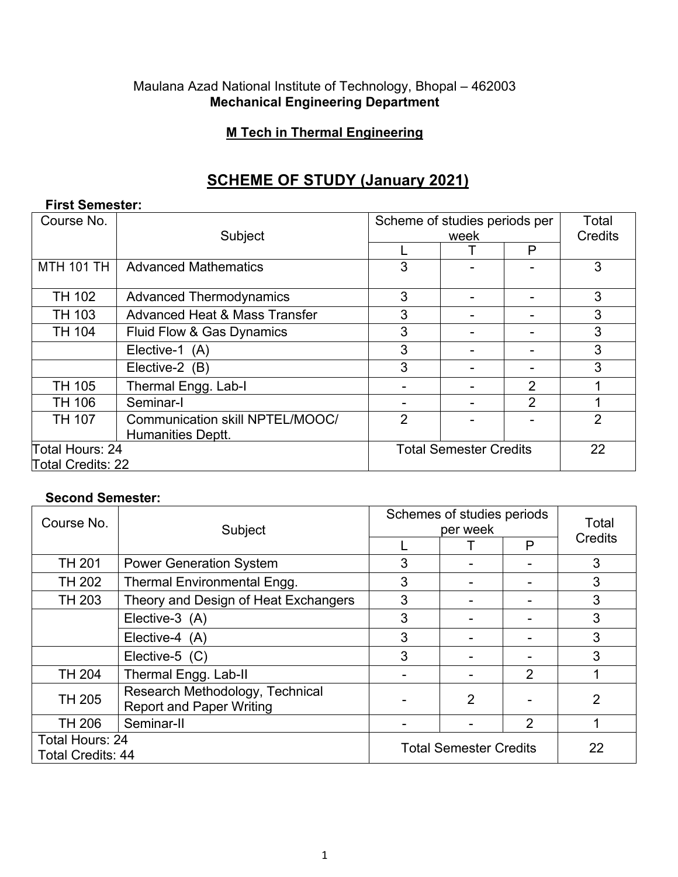#### Maulana Azad National Institute of Technology, Bhopal – 462003 **Mechanical Engineering Department**

## **M Tech in Thermal Engineering**

# **SCHEME OF STUDY (January 2021)**

## **First Semester:**

| Course No.        | Subject                                  | Scheme of studies periods per<br>week |                               |                | Total<br><b>Credits</b> |
|-------------------|------------------------------------------|---------------------------------------|-------------------------------|----------------|-------------------------|
|                   |                                          |                                       |                               | P              |                         |
| <b>MTH 101 TH</b> | <b>Advanced Mathematics</b>              | 3                                     |                               |                | 3                       |
| <b>TH 102</b>     | <b>Advanced Thermodynamics</b>           | 3                                     | ۰                             |                | 3                       |
| <b>TH 103</b>     | <b>Advanced Heat &amp; Mass Transfer</b> | 3                                     |                               |                | 3                       |
| <b>TH 104</b>     | Fluid Flow & Gas Dynamics                | 3                                     |                               |                | 3                       |
|                   | Elective-1 (A)                           | 3                                     |                               |                | 3                       |
|                   | Elective-2 (B)                           | 3                                     |                               |                | 3                       |
| <b>TH 105</b>     | Thermal Engg. Lab-I                      |                                       |                               | $\overline{2}$ |                         |
| <b>TH 106</b>     | Seminar-I                                |                                       |                               | $\overline{2}$ |                         |
| <b>TH 107</b>     | Communication skill NPTEL/MOOC/          | $\overline{2}$                        |                               |                | $\overline{2}$          |
|                   | <b>Humanities Deptt.</b>                 |                                       |                               |                |                         |
| Total Hours: 24   |                                          |                                       | <b>Total Semester Credits</b> |                |                         |
| Total Credits: 22 |                                          |                                       |                               |                |                         |

#### **Second Semester:**

| Course No.                                  | Subject                                                            | Schemes of studies periods<br>per week |   |                | Total   |
|---------------------------------------------|--------------------------------------------------------------------|----------------------------------------|---|----------------|---------|
|                                             |                                                                    |                                        |   | P              | Credits |
| <b>TH 201</b>                               | <b>Power Generation System</b>                                     | 3                                      |   |                | 3       |
| <b>TH 202</b>                               | <b>Thermal Environmental Engg.</b>                                 | 3                                      |   |                | 3       |
| TH 203                                      | Theory and Design of Heat Exchangers                               | 3                                      |   |                | 3       |
|                                             | Elective-3 (A)                                                     | 3                                      |   |                | 3       |
|                                             | Elective-4 (A)                                                     | 3                                      |   |                | 3       |
|                                             | Elective-5 $(C)$                                                   | 3                                      |   |                | 3       |
| <b>TH 204</b>                               | Thermal Engg. Lab-II                                               |                                        |   | $\overline{2}$ |         |
| <b>TH 205</b>                               | Research Methodology, Technical<br><b>Report and Paper Writing</b> |                                        | 2 |                | 2       |
| TH 206                                      | Seminar-II                                                         |                                        |   | 2              |         |
| Total Hours: 24<br><b>Total Credits: 44</b> |                                                                    | <b>Total Semester Credits</b>          |   |                | 22      |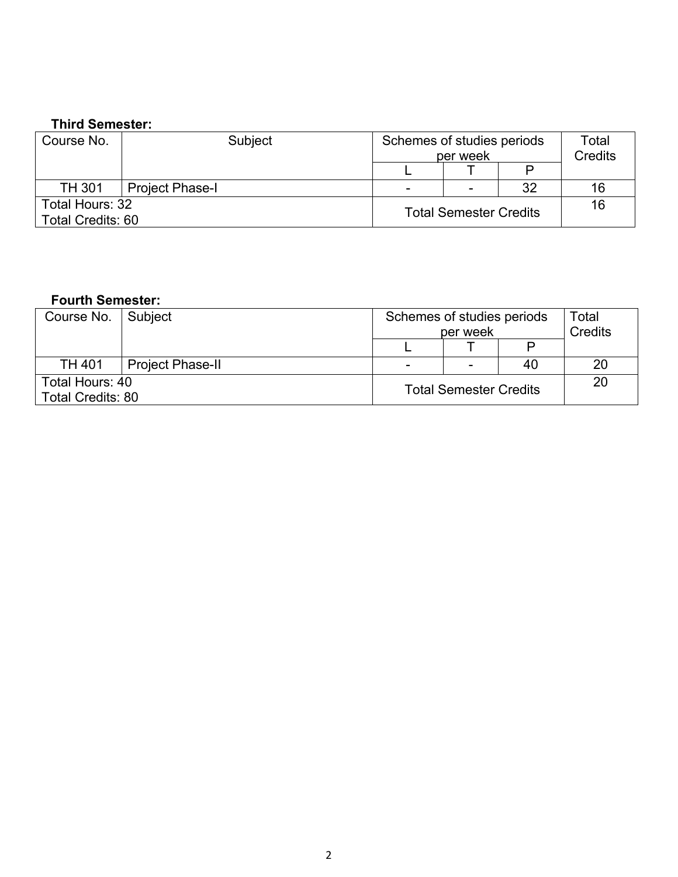# **Third Semester:**

| Course No.               | Subject                | Schemes of studies periods    | per week |    | Total<br><b>Credits</b> |
|--------------------------|------------------------|-------------------------------|----------|----|-------------------------|
|                          |                        |                               |          |    |                         |
| <b>TH 301</b>            | <b>Project Phase-I</b> | -                             |          | 32 | 16                      |
| Total Hours: 32          |                        | <b>Total Semester Credits</b> |          |    | 16                      |
| <b>Total Credits: 60</b> |                        |                               |          |    |                         |

## **Fourth Semester:**

| Course No.   Subject     |                         | Schemes of studies periods    |  |    | Total   |
|--------------------------|-------------------------|-------------------------------|--|----|---------|
|                          |                         | per week                      |  |    | Credits |
|                          |                         |                               |  |    |         |
| <b>TH 401</b>            | <b>Project Phase-II</b> | -                             |  | 40 | 20      |
| Total Hours: 40          |                         | <b>Total Semester Credits</b> |  |    | 20      |
| <b>Total Credits: 80</b> |                         |                               |  |    |         |